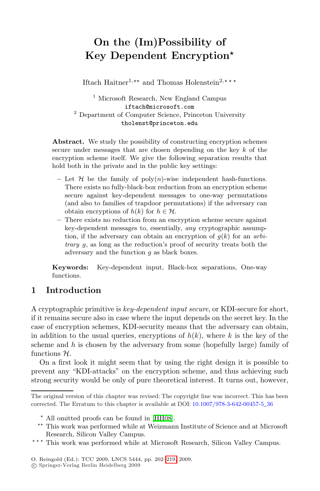# **On the (Im)Possibility of Key Dependent Encryption**

Iftach Haitner<sup>1,\*\*</sup> and Thomas Holenstein<sup>2,\*\*\*</sup>

<sup>1</sup> Microsoft Research, New England Campus iftach@microsoft.com <sup>2</sup> Department of Computer Science, Princeton University tholenst@princeton.edu

**Abstract.** We study the possibility of constructing encryption schemes secure under messages that are chosen depending on the key  $k$  of the encryption scheme itself. We give the following separation results that hold both in the private and in the public key settings:

- Let  $H$  be the family of poly(n)-wise independent hash-functions. There exists no fully-black-box reduction from an encryption scheme secure against key-dependent messages to one-way permutations (and also to families of trapdoor permutations) if the adversary can obtain encryptions of  $h(k)$  for  $h \in \mathcal{H}$ .
- **–** There exists no reduction from an encryption scheme secure against key-dependent messages to, essentially, any cryptographic assumption, if the adversary can obtain an encryption of  $q(k)$  for an arbitrary g, as long as the reduction's proof of security treats both the adversary and the function  $q$  as black boxes.

**Keywords:** Key-dependent input, Black-box separations, One-way functions.

# **1 Introduction**

A cryptographic primitive is key-dependent input secure, or KDI-secure for short, if it remains secure also in case where the input depends on the secret key. In the case of encryption schemes, KDI-security means that the adversary can obtain, in addition to the usual queries, encryptions of  $h(k)$ , where k is the key of the scheme and  $h$  is chosen by the adversary from some (hopefully large) family of functions  $H$ .

On a first look it might seem that by using the right design it is possible to prevent any "KDI-attacks" on the encryption scheme, and thus achieving such strong security would be only of pure theoretical interest. It turns out, however,

- 
- $\star$  All omitted proofs can be found in [\[HH08\]](#page-15-0). <br> <br> $\star\star$  This work was performed while at Weizmann Institute of Science and at Microsoft Research, Silicon Valley Campus.<br>\*\*\* This work was performed while at Microsoft Research, Silicon Valley Campus.
- 

The original version of this chapter was revised: The copyright line was incorrect. This has been corrected. The Erratum to this chapter is available at DOI: [10.1007/978-3-642-00457-5](http://dx.doi.org/10.1007/978-3-642-00457-5_36)*\_*36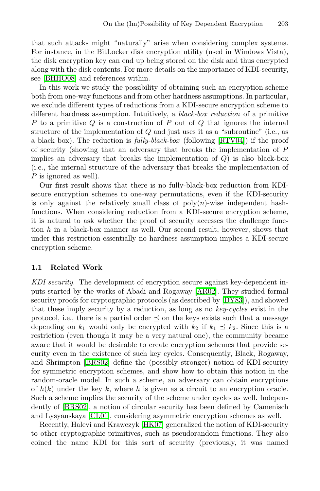that such attacks might "naturally" arise when considering complex systems. For instance, in the BitLocker disk encryption utility (used in Windows Vista), the disk encryption key can end up being stored on the disk and thus encrypted along with the disk contents. For more details on the importance of KDI-security, see **BHHO08** and references within.

In this work we study the possibility of obtaining such an encryption scheme both from one-way functions and from other hardness assumptions. In particular, we exclude different types of reductions from a KDI-secure encryption scheme to different hardness assumption. Intuitively, a black-box reduction of a primitive P to a primitive  $Q$  is a construction of P out of  $Q$  that ignores the internal structure of the implementation of  $Q$  and just uses it as a "subroutine" (i.e., as a black box). The reduction is  $fully\text{-}black\text{-}box$  (following  $\boxed{\text{RTV04}}$  $\boxed{\text{RTV04}}$  $\boxed{\text{RTV04}}$ ) if the proof of security (showing that an adversary that breaks the implementation of P implies an adversary that breaks the implementation of  $Q$ ) is also black-box (i.e., the internal structure of the adversary that breaks the implementation of P is ignored as well).

Our first result shows that there is no fully-black-box reduction from KDIsecure encryption schemes to one-way permutations, even if the KDI-security is only against the relatively small class of  $poly(n)$ -wise independent hashfunctions. When considering reduction from a KDI-secure encryption scheme, it is natural to ask whether the proof of security accesses the challenge function h in a black-box manner as well. Our second result, however, shows that under this restriction essentially no hardness assumption implies a KDI-secure encryption scheme.

### **1.1 Related Work**

KDI security. The development of encryption secure against key-dependent inputs started by the works of Abadi and Rogaway [\[A](#page-15-2)R02]. They studied formal security proofs for cryptographic protocols (as described by [\[DY](#page-15-3)83]), and showed that these imply security by a reduction, as long as no key-cycles exist in the protocol, i.e., there is a partial order  $\preceq$  on the keys exists such that a message depending on  $k_1$  would only be encrypted with  $k_2$  if  $k_1 \leq k_2$ . Since this is a restriction (even though it may be a very natural one), the community became aware that it would be desirable to create encryption schemes that provide security even in the existence of such key cycles. Consequently, Black, Rogaway, and Shrimpton [BR[S0](#page-15-4)2] define the (possibly stronger) notion of KDI-security for symmetric encryption schemes, and show how to obtain this notion in the random-oracle model. In such a scheme, an adversary can obtain encryptions of  $h(k)$  under the key k, where h is given as a circuit to an encryption oracle. Such a scheme implies the security of the scheme under cycles as well. Independently of [BR[S0](#page-15-4)2], a notion of circular security has been defined by Camenisch and Lysyanskaya [C[L01\]](#page-15-5), considering asymmetric encryption schemes as well.

Recently, Halevi and Krawczyk [\[HK0](#page-16-1)7] generalized the notion of KDI-security to other cryptographic primitives, such as pseudorandom functions. They also coined the name KDI for this sort of security (previously, it was named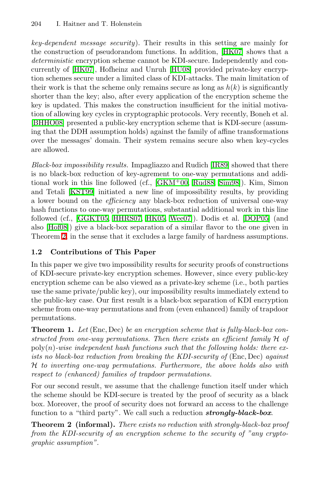key-dependent message security). Their results in this setting are mainly for the construction of pseudorandom functions. In addition, **HK07** shows that a deterministic encryption scheme cannot be KDI-secure. Independently and concurrently of **HK07**, Hofheinz and Unruh **HU08** provided private-key encryption schemes secure under a limited class of KDI-attacks. The main limitation of their work is that the scheme only remains secure as long as  $h(k)$  is significantly shorter than the key; also, after every application of the encryption scheme the key is updated. This makes the construction insufficient for the initial motivation of allowing key cycles in cryptographic protocols. Very recently, Boneh et al. [\[BHH](#page-15-1)O08] presented a public-key encryption scheme that is KDI-secure (assuming that the DDH assumption holds) against the family of affine transformations over the messages' domain. Their system remains secure also when key-cycles are allowed.

Black-box impossibility results. Impagliazzo and Rudich  $\overline{IR89}$  $\overline{IR89}$  $\overline{IR89}$  showed that there is no black-box reduction of key-agrement to one-way permutations and additional work in this line followed (cf.,  $\boxed{\text{GKM}^+00}$  $\boxed{\text{GKM}^+00}$  $\boxed{\text{GKM}^+00}$ , [Rud88](#page-16-4), [Si](#page-16-5)m98). Kim, Simon and Tetali [\[KST99\]](#page-16-6) initiated a new line of impossibility results, by providing a lower bound on the *efficiency* any black-box reduction of universal one-way hash functions to one-way permutations, substantial additional work in this line followed (cf., [GG[KT05,](#page-15-7) [HH](#page-15-8)RS07, [HK05,](#page-15-9) [W](#page-16-7)ee07]). Dodis et al. [DO[P05\]](#page-15-10) (and also  $H_0$ [068]) give a black-box separation of a similar flavor to the one given in Theorem  $\mathbb{Z}$  in the sense that it excludes a large family of hardness assumptions.

### **1.2 Contributions of This Paper**

In this paper we give two impossibility results for security proofs of constructions of KDI-secure private-key encryption schemes. However, since every public-key encryption scheme can be also viewed as a private-key scheme (i.e., both parties use the same private/public key), our impossibility results immediately extend to the public-key case. Our first result isablack-box separation of KDI encryption scheme from one-way permutations and from (even enhanced) family of trapdoor permutations.

**Theorem 1.** Let (Enc, Dec) be an encryption scheme that is fully-black-box constructed from one-way permutations. Then there exists an efficient family H of  $\text{poly}(n)$ -wise independent hash functions such that the following holds: there exists no black-box reduction from breaking the KDI-security of (Enc, Dec) against H to inverting one-way permutations. Furthermore, the above holds also with respect to (enhanced) families of trapdoor permutations.

For our second result, we assume that the challenge function itself under which the scheme should be KDI-secure is treated by the proof of security as a black box. Moreover, the proof of security does not forward an access to the challenge function to a "third party". We call such a reduction *strongly-black-box*.

**Theorem 2 (informal).** There exists no reduction with strongly-black-box proof from the KDI-security of an encryption scheme to the security of "any cryptographic assumption".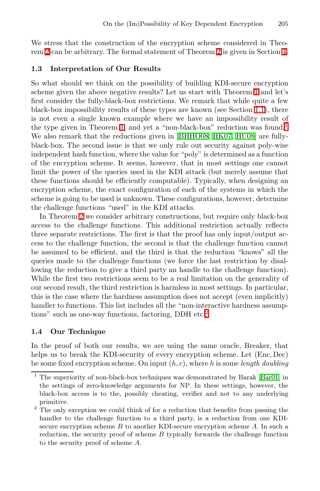We stress that the construction of the encryption scheme considered in Theorem  $\overline{2}$  can be arbitrary. The formal statement of Theorem  $\overline{2}$  is given in Section  $\overline{4}$  $\overline{4}$  $\overline{4}$ .

### **1.3 Interpretation of Our Results**

So what should we think on the possibility of building KDI-secure encryption scheme given the above negative results? Let us start with Theorem  $\mathbb{I}$  and let's first consider the fully-black-box restrictions. We remark that while quite a few black-box impossibility results of these types are known (see Section  $\boxed{1, 1}$ ), there is not even a single known example where we have an impossibility result of the type given in Theorem  $\mathbb{I}$  and yet a "non-black-box" reduction was found. We also remark that the reductions given in **BHHO08**, **HK07**, **HU08** are fullyblack-box. The second issue is that we only rule out security against poly-wise independent hash function, where the value for "poly" is determined as a function of the encryption scheme. It seems, however, that in most settings one cannot limit the power of the queries used in the KDI attack (but merely assume that these functions should be efficiently computable). Typically, when designing an encryption scheme, the exact configuration of each of the systems in which the scheme is going to be used is unknown. These configurations, however, determine the challenge functions "used" in the KDI attacks.

In Theorem [2](#page--1-0) we consider arbitrary constructions, but require only black-box access to the challenge functions. This additional restriction actually reflects three separate restrictions. The first is that the proof has only input/output access to the challenge function, the second is that the challenge function cannot be assumed to be efficient, and the third is that the reduction "knows" all the queries made to the challenge functions (we force the last restriction by disallowing the reduction to give a third party an handle to the challenge function). While the first two restrictions seem to be a real limitation on the generality of our second result, the third restriction is harmless in most settings. In particular, this is the case where the hardness assumption does not accept (even implicitly) handler to functions. This list includes all the "non-interactive hardness assump-tions" such as one-way functions, factoring, DDH etc.<sup>[2](#page--1-5)</sup>

### **1.4 Our Technique**

In the proof of both our results, we are using the same oracle, Breaker, that helps us to break the KDI-security of every encryption scheme. Let (Enc, Dec) be some fixed encryption scheme. On input  $(h, c)$ , where h is some length doubling

 $^{\rm 1}$  The superiority of non-black-box techniques was demonstrated by Barak [\[Bar01\]](#page-15-11) in the settings of zero-knowledge arguments for NP. In these settings, however, the black-box access is to the, possibly cheating, verifier and not to any underlying

primitive.  $^{\rm 2}$  The only exception we could think of for a reduction that benefits from passing the handler to the challenge function to a third party, is a reduction from one KDIsecure encryption scheme B to another KDI-secure encryption scheme A. In such a reduction, the security proof of scheme  $B$  typically forwards the challenge function to the security proof of scheme A.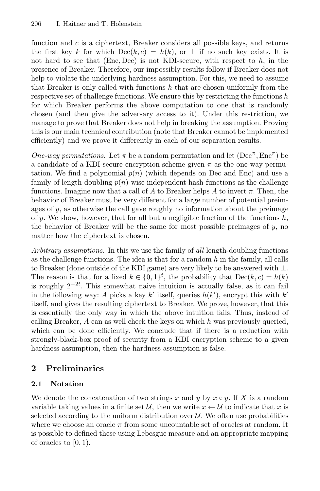function and  $c$  is a ciphertext, Breaker considers all possible keys, and returns the first key k for which  $Dec(k, c) = h(k)$ , or  $\perp$  if no such key exists. It is not hard to see that  $(Enc, Dec)$  is not KDI-secure, with respect to  $h$ , in the presence of Breaker. Therefore, our impossibly results follow if Breaker does not help to violate the underlying hardness assumption. For this, we need to assume that Breaker is only called with functions  $h$  that are chosen uniformly from the respective set of challenge functions. We ensure this by restricting the functions  $h$ for which Breaker performs the above computation to one that is randomly chosen (and then give the adversary access to it). Under this restriction, we manage to prove that Breaker does not help in breaking the assumption. Proving this is our main technical contribution (note that Breaker cannot be implemented efficiently) and we prove it differently in each of our separation results.

One-way permutations. Let  $\pi$  be a random permutation and let  $(Dec^{\pi}, Enc^{\pi})$  be a candidate of a KDI-secure encryption scheme given  $\pi$  as the one-way permutation. We find a polynomial  $p(n)$  (which depends on Dec and Enc) and use a family of length-doubling  $p(n)$ -wise independent hash-functions as the challenge functions. Imagine now that a call of A to Breaker helps A to invert  $\pi$ . Then, the behavior of Breaker must be very different for a large number of potential preimages of y, as otherwise the call gave roughly no information about the preimage of y. We show, however, that for all but a negligible fraction of the functions  $h$ , the behavior of Breaker will be the same for most possible preimages of  $y$ , no matter how the ciphertext is chosen.

Arbitrary assumptions. In this we use the family of all length-doubling functions as the challenge functions. The idea is that for a random  $h$  in the family, all calls to Breaker (done outside of the KDI game) are very likely to be answered with ⊥. The reason is that for a fixed  $k \in \{0,1\}^t$ , the probability that  $\text{Dec}(k, c) = h(k)$ is roughly  $2^{-2t}$ . This somewhat naive intuition is actually false, as it can fail in the following way: A picks a key k' itself, queries  $h(k')$ , encrypt this with  $k'$ itself, and gives the resulting ciphertext to Breaker. We prove, however, that this is essentially the only way in which the above intuition fails. Thus, instead of calling Breaker,  $A$  can as well check the keys on which  $h$  was previously queried, which can be done efficiently. We conclude that if there is a reduction with strongly-black-box proof of security from a KDI encryption scheme to a given hardness assumption, then the hardness assumption is false.

# **2 Preliminaries**

### **2.1 Notation**

We denote the concatenation of two strings x and y by  $x \circ y$ . If X is a random variable taking values in a finite set U, then we write  $x \leftarrow U$  to indicate that x is selected according to the uniform distribution over  $U$ . We often use probabilities where we choose an oracle  $\pi$  from some uncountable set of oracles at random. It is possible to defined these using Lebesgue measure and an appropriate mapping of oracles to  $[0, 1)$ .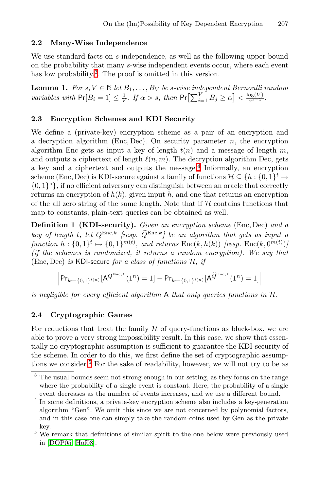### **2.2 Many-Wise Independence**

We use standard facts on s-independence, as well as the following upper bound on the probability that many s-wise independent events occur, where each event has low probability.<sup>[3](#page--1-4)</sup>. The proof is omitted in this version.

**Lemma 1.** For  $s, V \in \mathbb{N}$  let  $B_1, \ldots, B_V$  be s-wise independent Bernoulli random variables with  $Pr[B_i = 1] \leq \frac{1}{V}$ . If  $\alpha > s$ , then  $Pr[\sum_{i=1}^{V} B_i \geq \alpha] < \frac{\log(V)}{\alpha^{s-1}}$ .

### **2.3 Encryption Schemes and KDI Security**

We define a (private-key) encryption scheme as a pair of an encryption and a decryption algorithm (Enc, Dec). On security parameter  $n$ , the encryption algorithm Enc gets as input a key of length  $t(n)$  and a message of length m, and outputs a ciphertext of length  $\ell(n, m)$ . The decryption algorithm Dec, gets a key and a ciphertext and outputs the message. Informally, an encryption scheme (Enc, Dec) is KDI-secure against a family of functions  $\mathcal{H} \subseteq \{h : \{0,1\}^t \to$ {0, 1}<sup>∗</sup>}, if no efficient adversary can distinguish between an oracle that correctly returns an encryption of  $h(k)$ , given input h, and one that returns an encryption of the all zero string of the same length. Note that if  $H$  contains functions that map to constants, plain-text queries can be obtained as well.

**Definition 1 (KDI-security).** Given an encryption scheme (Enc, Dec) and a key of length t, let  $Q^{\text{Enc},k}$  [resp.  $\widetilde{Q}^{\text{Enc},k}$ ] be an algorithm that gets as input a function  $h: \{0,1\}^t \mapsto \{0,1\}^{m(t)}$ , and returns  $\text{Enc}(k, h(k))$  [resp.  $\text{Enc}(k, 0^{m(t)})$ ] (if the schemes is randomized, it returns a random encryption). We say that (Enc, Dec) is KDI-secure for a class of functions  $H$ , if

$$
\Big|\mathsf{Pr}_{k\leftarrow \{0,1\}^{t(n)}}[\mathsf{A}^{Q^{\text{Enc},k}}(1^n) = 1] - \mathsf{Pr}_{k\leftarrow \{0,1\}^{t(n)}}[\mathsf{A}^{\widetilde{Q}^{\text{Enc},k}}(1^n) = 1]\Big|
$$

is negligible for every efficient algorithm A that only queries functions in  $\mathcal{H}$ .

### **2.4 Cryptographic Games**

For reductions that treat the family  $H$  of query-functions as black-box, we are able to prove a very strong impossibility result. In this case, we show that essentially no cryptographic assumption is sufficient to guarantee the KDI-security of the scheme. In order to do this, we first define the set of cryptographic assumptions we consider  $\sqrt{5}$  $\sqrt{5}$  $\sqrt{5}$  For the sake of readability, however, we will not try to be as

<sup>&</sup>lt;sup>3</sup> The usual bounds seem not strong enough in our setting, as they focus on the range where the probability of a single event is constant. Here, the probability of a single

event decreases as the number of events increases, and we use a different bound. <sup>4</sup> In some definitions, a private-key encryption scheme also includes a key-generation algorithm "Gen". We omit this since we are not concerned by polynomial factors, and in this case one can simply take the random-coins used by Gen as the private

 $^5$  We remark that definitions of similar spirit to the one below were previously used  $^5$ in [\[DOP05,](#page-15-10) [Hof08\]](#page-16-8).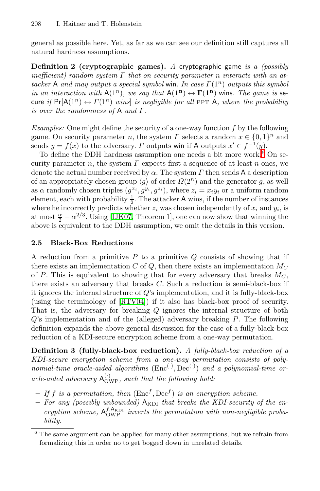general as possible here. Yet, as far as we can see our definition still captures all natural hardness assumptions.

**Definition 2 (cryptographic games).** A cryptographic game is a (possibly inefficient) random system  $\Gamma$  that on security parameter n interacts with an attacker A and may output a special symbol win. In case  $\Gamma(1^n)$  outputs this symbol in an interaction with  $A(1^n)$ , we say that  $A(1^n) \leftrightarrow \Gamma(1^n)$  wins. The game is secure if  $Pr[A(1^n) \leftrightarrow \Gamma(1^n)$  wins is negligible for all PPT A, where the probability is over the randomness of  $A$  and  $\Gamma$ .

Examples: One might define the security of a one-way function f by the following game. On security parameter n, the system  $\Gamma$  selects a random  $x \in \{0,1\}^n$  and sends  $y = f(x)$  to the adversary.  $\Gamma$  outputs win if A outputs  $x' \in f^{-1}(y)$ .

To define the DDH hardness assumption one needs a bit more work.<sup><sup>[6](#page--1-7)</sup></sup> On security parameter n, the system  $\Gamma$  expects first a sequence of at least n ones, we denote the actual number received by  $\alpha$ . The system  $\Gamma$  then sends A a description of an appropriately chosen group  $\langle g \rangle$  of order  $\Omega(2^n)$  and the generator g, as well as  $\alpha$  randomly chosen triples  $(g^{x_i}, g^{y_i}, g^{z_i})$ , where  $z_i = x_i y_i$  or a uniform random element, each with probability  $\frac{1}{2}$ . The attacker A wins, if the number of instances where he incorrectly predicts whether  $z_i$  was chosen independently of  $x_i$  and  $y_i$ , is at most  $\frac{\alpha}{2} - \alpha^{2/3}$ . Using [UK07], Theorem 1], one can now show that winning the above is equivalent to the DDH assumption, we omit the details in this version.

### **2.5 Black-Box Reductions**

A reduction from a primitive  $P$  to a primitive  $Q$  consists of showing that if there exists an implementation C of Q, then there exists an implementation  $M_C$ of P. This is equivalent to showing that for every adversary that breaks  $M_C$ , there exists an adversary that breaks C. Such a reduction is semi-black-box if it ignores the internal structure of Q's implementation, and it is fully-black-box (using the terminology of [R[TV0](#page-16-0)4]) if it also has black-box proof of security. That is, the adversary for breaking Q ignores the internal structure of both Q's implementation and of the (alleged) adversary breaking P. The following definition expands the above general discussion for the case of a fully-black-box reduction of a KDI-secure encryption scheme from a one-way permutation.

**Definition 3 (fully-black-box reduction).** A fully-black-box reduction of a KDI-secure encryption scheme from a one-way permutation consists of polynomial-time oracle-aided algorithms  $(\text{Enc}^{(\cdot)}, \text{Dec}^{(\cdot)})$  and a polynomial-time oracle-aided adversary  $A_{\text{OWP}}^{(+)}$ , such that the following hold:

- $-$  If f is a permutation, then  $(\text{Enc}^f, \text{Dec}^f)$  is an encryption scheme.
- **–** For any (possibly unbounded) AKDI that breaks the KDI-security of the encryption scheme,  $A_{\text{OWP}}^{f, A_{\text{KDI}}}$  inverts the permutation with non-negligible probability.

The same argument can be applied for many other assumptions, but we refrain from formalizing this in order no to get bogged down in unrelated details.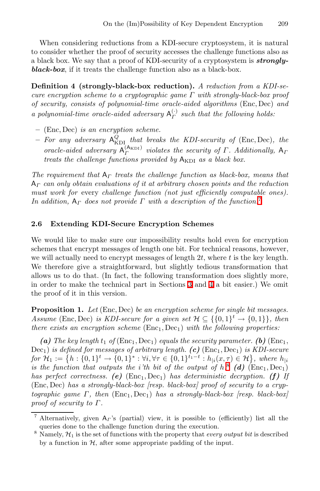When considering reductions from a KDI-secure cryptosystem, it is natural to consider whether the proof of security accesses the challenge functions also as a black box. We say that a proof of KDI-security of a cryptosystem is *stronglyblack-box*, if it treats the challenge function also as a black-box.

**Definition 4 (strongly-black-box reduction).** A reduction from a KDI-secure encryption scheme to a cryptographic game  $\Gamma$  with strongly-black-box proof of security, consists of polynomial-time oracle-aided algorithms (Enc, Dec) and a polynomial-time oracle-aided adversary  $A_{\Gamma}^{(\cdot)}$  such that the following holds:

- **–** (Enc, Dec) is an encryption scheme.
- $-$  For any adversary  $A^Q_{K\text{DL}}$  that breaks the KDI-security of (Enc, Dec), the oracle-aided adversary  $A_F^{(A_{KDI})}$  violates the security of  $\Gamma$ . Additionally,  $A_I$ treats the challenge functions provided by  $A_{KDI}$  as a black box.

The requirement that  $A_{\Gamma}$  treats the challenge function as black-box, means that  $A_{\Gamma}$  can only obtain evaluations of it at arbitrary chosen points and the reduction must work for every challenge function (not just efficiently computable ones). In addition,  $A_{\Gamma}$  does not provide  $\Gamma$  with a description of the function.

#### **2.6 Extending KDI-Secure Encryption Schemes**

We would like to make sure our impossibility results hold even for encryption schemes that encrypt messages of length one bit. For technical reasons, however, we will actually need to encrypt messages of length  $2t$ , where t is the key length. We therefore give a straightforward, but slightly tedious transformation that allows us to do that. (In fact, the following transformation does slightly more, in order to make the technical part in Sections  $\mathbf{3}$  $\mathbf{3}$  $\mathbf{3}$  and  $\mathbf{\overline{4}}$  $\mathbf{\overline{4}}$  $\mathbf{\overline{4}}$  a bit easier.) We omit the proof of it in this version.

**Proposition 1.** Let (Enc, Dec) be an encryption scheme for single bit messages. Assume (Enc, Dec) is KDI-secure for a given set  $\mathcal{H} \subseteq \{\{0,1\}^t \to \{0,1\}\}\$ , then there exists an encryption scheme  $(Enc_1, Dec_1)$  with the following properties:

(a) The key length  $t_1$  of  $(\text{Enc}_1, \text{Dec}_1)$  equals the security parameter. **(b)**  $(\text{Enc}_1,$ Dec<sub>1</sub>) is defined for messages of arbitrary length.  $(c)$  (Enc<sub>1</sub>, Dec<sub>1</sub>) is KDI-secure  $for \ \mathcal{H}_1 := \{h : \{0,1\}^t \to \{0,1\}^* : \forall i, \forall \tau \in \{0,1\}^{t_1 - t} : h_{|i}(x, \tau) \in \mathcal{H}\}, where \ h_{|i}$ is the function that outputs the *i*'th bit of the output of  $h\mathbf{B}$  (d) (Enc<sub>1</sub>, Dec<sub>1</sub>) has perfect correctness. (e)  $(Enc<sub>1</sub>, Dec<sub>1</sub>)$  has deterministic decryption. **(f)** If  $(Enc, Dec)$  has a strongly-black-box  $resp.$  black-box] proof of security to a cryptographic game  $\Gamma$ , then  $(Enc_1, Dec_1)$  has a strongly-black-box [resp. black-box] proof of security to Γ.

Alternatively, given  $A_\Gamma$ 's (partial) view, it is possible to (efficiently) list all the queries done to the challenge function during the execution.<br><sup>8</sup> Namely,  $H_1$  is the set of functions with the property that *every output bit* is described

by a function in  $H$ , after some appropriate padding of the input.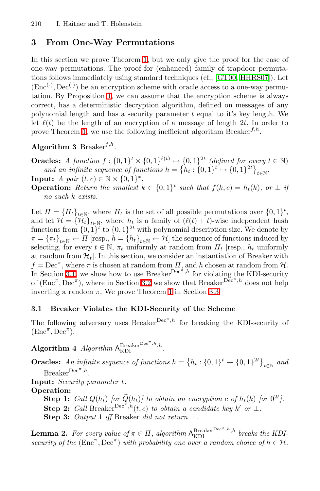### **3 From One-Way Permutations**

In this section we prove Theorem  $\prod$  but we only give the proof for the case of one-way permutations. The proof for (enhanced) family of trapdoor permutations follows immediately using standard techniques (cf., [G[T00,](#page-15-12) [HH](#page-15-8)RS07]). Let  $(Enc^{(\cdot)}, Dec^{(\cdot)})$  be an encryption scheme with oracle access to a one-way permutation. By Proposition  $\mathbb{I}$ , we can assume that the encryption scheme is always correct, has a deterministic decryption algorithm, defined on messages of any polynomial length and has a security parameter  $t$  equal to it's key length. We let  $\ell(t)$  be the length of an encryption of a message of length 2t. In order to prove Theorem  $\prod$ , we use the following inefficient algorithm Breaker<sup>f,h</sup>.

### **Algorithm 3** Breaker<sup> $f,h$ </sup>.

**Oracles:** A function  $f : \{0,1\}^t \times \{0,1\}^{\ell(t)} \mapsto \{0,1\}^{2t}$  (defined for every  $t \in \mathbb{N}$ ) and an infinite sequence of functions  $h = \{h_t : \{0,1\}^t \mapsto \{0,1\}^{2t}\}_{t \in \mathbb{N}}$ . **Input:** A pair  $(t, c) \in \mathbb{N} \times \{0, 1\}^*$ .

**Operation:** Return the smallest  $k \in \{0,1\}^t$  such that  $f(k, c) = h_t(k)$ , or  $\perp$  if no such k exists.

Let  $\Pi = \{\Pi_t\}_{t \in \mathbb{N}}$ , where  $\Pi_t$  is the set of all possible permutations over  $\{0, 1\}^t$ , and let  $\mathcal{H} = {\{\mathcal{H}_t\}}_{t \in \mathbb{N}},$  where  $h_t$  is a family of  $(\ell(t) + t)$ -wise independent hash functions from  $\{0, 1\}^t$  to  $\{0, 1\}^{2t}$  with polynomial description size. We denote by  $\pi = {\pi_t}_{t\in\mathbb{N}} \leftarrow \Pi \left[ \text{resp., } h = {h_t}_{t\in\mathbb{N}} \leftarrow \mathcal{H} \right]$  the sequence of functions induced by selecting, for every  $t \in \mathbb{N}$ ,  $\pi_t$  uniformly at random from  $\Pi_t$  [resp.,  $h_t$  uniformly at random from  $\mathcal{H}_t$ . In this section, we consider an instantiation of Breaker with  $f = \text{Dec}^{\pi}$ , where  $\pi$  is chosen at random from  $\Pi$ , and h chosen at random from  $\mathcal{H}$ . In Section **3.1**, we show how to use Breaker<sup>Dec<sup> $\star$ </sup>,<sup>h</sup> for violating the KDI-security</sup> of  $(\text{Enc}^{\pi}, \text{Dec}^{\pi})$ , where in Section [3.](#page--1-11)2 we show that Breaker $D^{\text{occ}}$ ,h does not help inverting a random  $\pi$ . We prove Theorem [1](#page--1-2) in Section [3.3.](#page--1-12)

### **3.1 Breaker Violates the KDI-Security of the Scheme**

The following adversary uses Breaker<sup>Dec<sup>π,h</sup> for breaking the KDI-security of</sup>  $(Enc^{\pi}, Dec^{\pi}).$ 

 $\mathbf{Algorithm} \; \mathbf{4} \; Algorithm \; \mathsf{A}^{\mathrm{Breaker}^{\mathrm{Dec}^{\pi},h},h}_{\mathrm{KDI}}.$ 

**Oracles:** An infinite sequence of functions  $h = \{h_t : \{0,1\}^t \to \{0,1\}^{2t}\}_{t \in \mathbb{N}}$  and  $Breaker^{Dec^{\pi},h}.$ 

**Input:** Security parameter t.

### **Operation:**

**Step 1:** Call  $Q(h_t)$  [or  $\widetilde{Q}(h_t)$ ] to obtain an encryption c of  $h_t(k)$  [or  $0^{2t}$ ]. **Step 2:** Call Breaker<sup>Dec<sup>π</sup>,h<sub>(t, c)</sub> to obtain a candidate key k' or ⊥.</sup> **Step 3:** Output 1 iff Breaker did not return ⊥.

**Lemma 2.** For every value of  $\pi \in \Pi$ , algorithm  $A_{\text{KDI}}^{\text{Breaker}^{\text{Dec}},h}, h$  breaks the KDIsecurity of the  $(\text{Enc}^{\pi}, \text{Dec}^{\pi})$  with probability one over a random choice of  $h \in \mathcal{H}$ .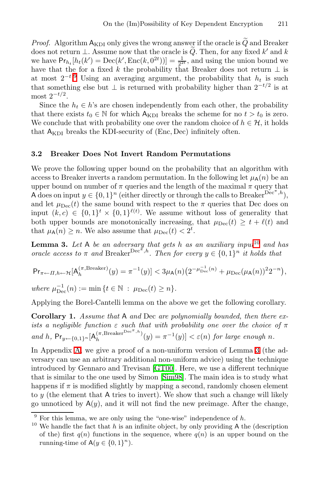*Proof.* Algorithm  $A_{KDI}$  only gives the wrong answer if the oracle is  $Q$  and Breaker does not return  $\bot$ . Assume now that the oracle is  $\widetilde{Q}$ . Then, for any fixed k' and k we have  $Pr_{h_t}[h_t(k')] = \text{Dec}(k', \text{Enc}(k, 0^{2t}))$  =  $\frac{1}{2^{2t}}$ , and using the union bound we have that the for a fixed  $k$  the probability that Breaker does not return  $\bot$  is at most  $2^{-t}$ <sup>[6]</sup> Using an averaging argument, the probability that  $h_t$  is such that something else but  $\perp$  is returned with probability higher than  $2^{-t/2}$  is at most  $2^{-t/2}$ .

Since the  $h_t \in h$ 's are chosen independently from each other, the probability that there exists  $t_0 \in \mathbb{N}$  for which  $A_{KDI}$  breaks the scheme for no  $t>t_0$  is zero. We conclude that with probability one over the random choice of  $h \in \mathcal{H}$ , it holds that  $A_{KDI}$  breaks the KDI-security of (Enc, Dec) infinitely often.

### **3.2 Breaker Does Not Invert Random Permutations**

We prove the following upper bound on the probability that an algorithm with access to Breaker inverts a random permutation. In the following let  $\mu_A(n)$  be an upper bound on number of  $\pi$  queries and the length of the maximal  $\pi$  query that A does on input  $y \in \{0,1\}^n$  (either directly or through the calls to Breaker<sup>Dec<sup>π</sup>,h),</sup> and let  $\mu_{\text{Dec}}(t)$  the same bound with respect to the  $\pi$  queries that Dec does on input  $(k, c) \in \{0, 1\}^{t} \times \{0, 1\}^{\ell(t)}$ . We assume without loss of generality that both upper bounds are monotonically increasing, that  $\mu_{\text{Dec}}(t) \geq t + \ell(t)$  and that  $\mu_{\mathsf{A}}(n) \geq n$ . We also assume that  $\mu_{\text{Dec}}(t) < 2^t$ .

**Lemma 3.** Let A be an adversary that gets h as an auxiliary input  $\frac{10}{10}$  $\frac{10}{10}$  $\frac{10}{10}$  and has oracle access to  $\pi$  and Breaker<sup>Dec<sup> $\pi$ </sup>,h. Then for every  $y \in \{0,1\}^n$  it holds that</sup>

$$
\mathsf{Pr}_{\pi \leftarrow \Pi, h \leftarrow \mathcal{H}}[\mathsf{A}_{h}^{(\pi, \text{Breaker})}(y) = \pi^{-1}(y)] < 3\mu_{\mathsf{A}}(n) \big( 2^{-\mu_{\text{Dec}}^{-1}(n)} + \mu_{\text{Dec}}(\mu_{\mathsf{A}}(n))^{2} 2^{-n} \big),
$$

where  $\mu_{\text{Dec}}^{-1}(n) := \min \{ t \in \mathbb{N} : \mu_{\text{Dec}}(t) \geq n \}.$ 

Applying the Borel-Cantelli lemma on the above we get the following corollary.

**Corollary 1.** Assume that A and Dec are polynomially bounded, then there exists a negligible function  $\varepsilon$  such that with probability one over the choice of  $\pi$ and h,  $Pr_{y \leftarrow \{0,1\}^n} [A_h^{(\pi, \text{Breaker}^{\text{Dec}}, h)}(y) = \pi^{-1}(y)] < \varepsilon(n)$  for large enough n.

<span id="page-9-0"></span>In Appendix  $\overline{A}$ , we give a proof of a non-uniform version of Lemma  $\overline{B}$  (the adversary can use an arbitrary additional non-uniform advice) using the technique introduced by Gennaro and Trevisan [G[T00\]](#page-15-12). Here, we use a different technique that is similar to the one used by Simon [\[Si](#page-16-5)m98]. The main idea is to study what happens if  $\pi$  is modified slightly by mapping a second, randomly chosen element to y (the element that A tries to invert). We show that such a change will likely go unnoticed by  $A(y)$ , and it will not find the new preimage. After the change,

<sup>&</sup>lt;sup>9</sup> For this lemma, we are only using the "one-wise" independence of h.<br><sup>10</sup> We handle the fact that h is an infinite object, by only providing A the (description of the) first  $q(n)$  functions in the sequence, where  $q(n)$  is an upper bound on the running-time of  $A(y \in \{0,1\}^n)$ .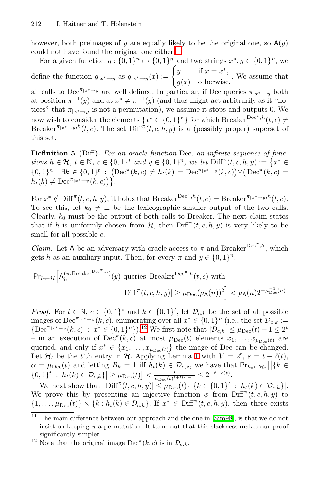however, both preimages of y are equally likely to be the original one, so  $A(y)$ could not have found the original one either.<sup>[[11](#page-10-0)</sup>]

<span id="page-10-2"></span>For a given function  $g : \{0,1\}^n \mapsto \{0,1\}^n$  and two strings  $x^*, y \in \{0,1\}^n$ , we define the function  $g_{|x^* \to y}$  as  $g_{|x^* \to y}(x) := \begin{cases} y & \text{if } x = x^*, \\ g(x) & \text{otherwise} \end{cases}$  $g(x)$  otherwise. We assume that

all calls to Dec<sup> $\pi$ |x∗→y</sup> are well defined. In particular, if Dec queries  $\pi$ <sub>|x<sup>\*</sup>→y</sub> both at position  $\pi^{-1}(y)$  and at  $x^* \neq \pi^{-1}(y)$  (and thus might act arbitrarily as it "notices" that  $\pi_{x^* \to y}$  is not a permutation), we assume it stops and outputs 0. We now wish to consider the elements  $\{x^* \in \{0,1\}^n\}$  for which Breaker $\mathrm{Dec}^{\pi,h}(t,c) \neq$ Breaker<sup> $\pi_{|x^* \to y}h(t, c)$ . The set Diff<sup> $\pi(t, c, h, y)$  is a (possibly proper) superset of</sup></sup> this set.

**Definition 5 (Diff).** For an oracle function Dec, an infinite sequence of functions  $h \in \mathcal{H}, t \in \mathbb{N}, c \in \{0,1\}^*$  and  $y \in \{0,1\}^n$ , we let  $\text{Diff}^{\pi}(t, c, h, y) := \{x^* \in \mathbb{N}, t \in \mathbb{N}\}$ {0,1}<sup>n</sup> | ∃k ∈ {0,1}<sup>t</sup> :  $($ Dec<sup>π</sup>(k, c) ≠ h<sub>t</sub>(k) = Dec<sup>π<sub>|x\*→y</sub>(k, c))∨(Dec<sup>π</sup>(k, c) =</sup>  $h_t(k) \neq \text{Dec}^{\pi_{|x^* \to y}}(k,c) \}$ .

For  $x^* \notin \text{Diff}^{\pi}(t, c, h, y)$ , it holds that Breaker<sup>Dec<sup>π</sup>,h(t, c) = Breaker<sup> $\pi |x^* \to y, h(t, c)$ .</sup></sup> To see this, let  $k_0 \neq \perp$  be the lexicographic smaller output of the two calls. Clearly,  $k_0$  must be the output of both calls to Breaker. The next claim states that if h is uniformly chosen from H, then  $\text{Diff}^{\pi}(t, c, h, y)$  is very likely to be small for all possible  $c$ .

*Claim.* Let A be an adversary with oracle access to  $\pi$  and Breaker<sup>Dec<sup>π</sup>,h, which</sup> gets h as an auxiliary input. Then, for every  $\pi$  and  $u \in \{0, 1\}^n$ :

$$
\mathsf{Pr}_{h\leftarrow \mathcal{H}}\Big[\mathsf{A}_{h}^{(\pi,\text{Breaker}^{\text{Dec}},h)}(y) \text{ queries } \text{Breaker}^{\text{Dec}},h}(t,c) \text{ with}
$$

$$
|\text{Diff}^{\pi}(t,c,h,y)| \geq \mu_{\text{Dec}}(\mu_{\mathsf{A}}(n))^2\Big] < \mu_{\mathsf{A}}(n)2^{-\mu_{\text{Dec}}^{-1}(n)}
$$

*Proof.* For  $t \in \mathbb{N}$ ,  $c \in \{0,1\}^*$  and  $k \in \{0,1\}^t$ , let  $\mathcal{D}_{c,k}$  be the set of all possible images of Dec<sup> $\pi_{|x^* \to y}(k, c)$ , enumerating over all  $x^* \in \{0, 1\}^n$  (i.e., the set  $\mathcal{D}_{c,k}$ :=</sup>  ${[\text{Dec}^{\pi_{|x^* \to y}}(k, c) : x^* \in \{0, 1\}^n\})$ . We first note that  $|\mathcal{D}_{c,k}| \leq \mu_{\text{Dec}}(t) + 1 \leq 2^t$ – in an execution of Dec<sup> $\pi(k, c)$ </sup> at most  $\mu_{\text{Dec}}(t)$  elements  $x_1, \ldots, x_{\mu_{\text{Dec}}(t)}$  are queried, and only if  $x^* \in \{x_1, \ldots, x_{\mu_{\text{Dec}}(t)}\}$  the image of Dec can be changed. Let  $\mathcal{H}_t$  be the t'th entry in  $\mathcal{H}$ . Applying Lemma  $\mathbb{I}$  with  $V = 2^t$ ,  $s = t + \ell(t)$ ,  $\alpha = \mu_{\text{Dec}}(t)$  and letting  $B_k = 1$  iff  $h_t(k) \in \mathcal{D}_{c,k}$ , we have that  $Pr_{h_t \leftarrow \mathcal{H}_t} [|\{k \in \mathcal{D}_{c,k}\}|]$  $\{0,1\}^t : h_t(k) \in \mathcal{D}_{c,k}\} \Big| \geq \mu_{\text{Dec}}(t) \Big| \leq \frac{t}{\mu_{\text{Dec}}(t)^{t+\ell(t)-1}} \leq 2^{-t-\ell(t)}.$ 

<span id="page-10-1"></span><span id="page-10-0"></span>We next show that  $|\text{Diff}^{\pi}(t, c, h, y)| \leq \mu_{\text{Dec}}(t) \cdot |\{k \in \{0, 1\}^t : h_t(k) \in \mathcal{D}_{c,k}\}|.$ We prove this by presenting an injective function  $\phi$  from  $\text{Diff}^{\pi}(t, c, h, y)$  to  $\{1,\ldots,\mu_{\text{Dec}}(t)\}\times\{k : h_t(k) \in \mathcal{D}_{c,k}\}.$  If  $x^* \in \text{Diff}^{\pi}(t, c, h, y)$ , then there exists

 $\frac{11}{11}$  The main difference between our approach and the one in  $\boxed{\text{Sim98}}$ , is that we do not insist on keeping  $\pi$  a permutation. It turns out that this slackness makes our proof significantly simpler.<br><sup>12</sup> Note that the original image  $\text{Dec}^{\pi}(k, c)$  is in  $\mathcal{D}_{c,k}$ .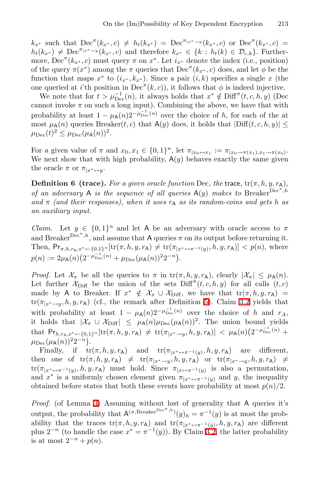$k_{x^*}$  such that  $\text{Dec}^{\pi}(k_{x^*}, c) \neq h_t(k_{x^*}) = \text{Dec}^{\pi_{|x^* \to y}}(k_{x^*}, c)$  or  $\text{Dec}^{\pi}(k_{x^*}, c) =$  $h_t(k_{x^*}) \neq \text{Dec}^{\pi_{|x^* \to y}}(k_{x^*}, c)$  and therefore  $k_{x^*} \in \{k : h_t(k) \in \mathcal{D}_{c,k}\}.$  Furthermore,  $\text{Dec}^{\pi}(k_{x^*}, c)$  must query  $\pi$  on  $x^*$ . Let  $i_{x^*}$  denote the index (i.e., position) of the query  $\pi(x^*)$  among the  $\pi$  queries that  $\text{Dec}^{\pi}(k_{x^*}, c)$  does, and let  $\phi$  be the function that maps  $x^*$  to  $(i_x^*, k_x^*)$ . Since a pair  $(i, k)$  specifies a single x (the one queried at *i*'th position in  $\text{Dec}^{\pi}(k, c)$ , it follows that  $\phi$  is indeed injective.

<span id="page-11-0"></span>We note that for  $t > \mu_{\text{Dec}}^{-1}(n)$ , it always holds that  $x^* \notin \text{Diff}^{\pi}(t, c, h, y)$  (Dec cannot invoke  $\pi$  on such a long input). Combining the above, we have that with probability at least  $1 - \mu_A(n)2^{-\mu_{\text{Dec}}^{-1}(n)}$  over the choice of h, for each of the at most  $\mu_A(n)$  queries Breaker $(t, c)$  that  $A(y)$  does, it holds that  $|\text{Diff}(t, c, h, y)| \le$  $\mu_{\text{Dec}}(t)^2 \leq \mu_{\text{Dec}}(\mu_{\mathsf{A}}(n))^2$ .

For a given value of  $\pi$  and  $x_0, x_1 \in \{0, 1\}^n$ , let  $\pi_{|x_0 \leftrightarrow x_1} := \pi_{|x_0 \to \pi(x_1), x_1 \to \pi(x_0)}$ . We next show that with high probability,  $A(y)$  behaves exactly the same given the oracle  $\pi$  or  $\pi_{|x^*\leftrightarrow y}$ .

**Definition 6 (trace).** For a given oracle function Dec, the trace,  $tr(\pi, h, y, r_A)$ , of an adversary A is the sequence of all queries  $A(y)$  makes to Breaker<sup>Dec<sup> $\pi$ </sup>,h</sup> and  $\pi$  (and their responses), when it uses  $r_A$  as its random-coins and gets h as an auxiliary input.

*Claim.* Let  $y \in \{0,1\}^n$  and let A be an adversary with oracle access to  $\pi$ and Breaker<sup>Dec<sup> $\pi$ </sup>,<sup>h</sup>, and assume that A queries  $\pi$  on its output before returning it.</sup> Then,  $Pr_{\pi, h, r_A, x^* \leftarrow \{0,1\}^n} [tr(\pi, h, y, r_A) \neq tr(\pi_{|x^* \leftrightarrow \pi^{-1}(y)}, h, y, r_A)] < p(n)$ , where  $p(n) := 2\mu_{\mathsf{A}}(n)\left(2^{-\mu_{\mathrm{Dec}}^{-1}(n)} + \mu_{\mathrm{Dec}}(\mu_{\mathsf{A}}(n))^{2}2^{-n}\right).$ 

*Proof.* Let  $\mathcal{X}_{\pi}$  be all the queries to  $\pi$  in  $tr(\pi, h, y, r_A)$ , clearly  $|\mathcal{X}_{\pi}| \leq \mu_A(n)$ . Let further  $\mathcal{X}_{\text{Diff}}$  be the union of the sets  $\text{Diff}^{\pi}(t, c, h, y)$  for all calls  $(t, c)$ made by A to Breaker. If  $x^* \notin \mathcal{X}_{\pi} \cup \mathcal{X}_{\text{Diff}}$ , we have that  $\text{tr}(\pi, h, y, r_A) =$  $tr(\pi_{|x^* \to y}, h, y, r_A)$  (cf., the remark after Definition [5\)](#page-10-2). Claim [3.](#page-10-2)2 yields that with probability at least  $1 - \mu_A(n)2^{-\mu_{\text{Dec}}^{-1}(n)}$  over the choice of h and  $r_A$ , it holds that  $|\mathcal{X}_{\pi} \cup \mathcal{X}_{\text{Diff}}| \leq \mu_{\mathbf{A}}(n)\mu_{\text{Dec}}(\mu_{\mathbf{A}}(n))^2$ . The union bound yields that  $Pr_{h,r_A,x^* \leftarrow \{0,1\}^n}[\text{tr}(\pi,h,y,r_A) \neq \text{tr}(\pi_{|x^* \to y},h,y,r_A)] < \mu_A(n) (2^{-\mu_{Dec}^{-1}(n)} +$  $\mu_{\text{Dec}}(\mu_{\mathsf{A}}(n))^{2}2^{-n}.$ 

Finally, if  $tr(\pi, h, y, r_A)$  and  $tr(\pi_{|x^* \leftrightarrow \pi^{-1}(y)}, h, y, r_A)$  are different, then one of  $tr(\pi, h, y, r_A) \neq tr(\pi_{|x^* \to y}, h, y, r_A)$  or  $tr(\pi_{|x^* \to y}, h, y, r_A) \neq$  $tr(\pi_{|x^*\leftrightarrow\pi^{-1}(y)}, h, y, r_A)$  must hold. Since  $\pi_{|x\leftrightarrow\pi^{-1}(y)}$  is also a permutation, and  $x^*$  is a uniformly chosen element given  $\pi_{x^* \leftrightarrow \pi^{-1}(y)}$  and y, the inequality obtained before states that both these events have probability at most  $p(n)/2$ .

*Proof.* (of Lemma  $\Box$ ) Assuming without lost of generality that A queries it's output, the probability that  $\mathsf{A}^{(\pi,\text{Breaker}^{\text{Dec}},h)}(y)_h = \pi^{-1}(y)$  is at most the probability that the traces  $tr(\pi, h, y, r_A)$  and  $tr(\pi_{|x^*\leftrightarrow \pi^{-1}(y)}, h, y, r_A)$  are different plus  $2^{-n}$  (to handle the case  $x^* = \pi^{-1}(y)$ ). By Claim [3.](#page-11-0)2, the latter probability is at most  $2^{-n} + p(n)$ .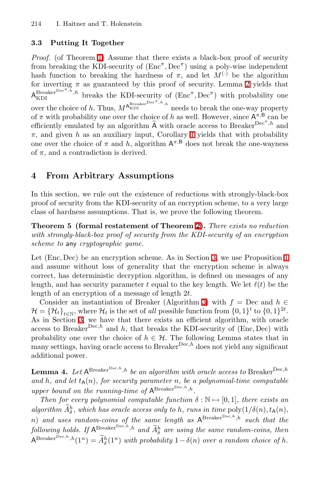### **3.3 Putting It Together**

*Proof.* (of Theorem  $\Box$ ) Assume that there exists a black-box proof of security from breaking the KDI-security of  $(\text{Enc}^{\pi}, \text{Dec}^{\pi})$  using a poly-wise independent hash function to breaking the hardness of  $\pi$ , and let  $M^{(\cdot)}$  be the algorithm for inverting  $\pi$  as guaranteed by this proof of security. Lemma [2](#page--1-16) yields that  $A_{\text{KDI}}^{\text{Breaker}^{\text{Dec}},h},$  breaks the KDI-security of  $(\text{Enc}^{\pi}, \text{Dec}^{\pi})$  with probability one over the choice of h. Thus,  $M_{\text{KDI}}^{\text{BreakerDec}}$ , h,h needs to break the one-way property of  $\pi$  with probability one over the choice of h as well. However, since  $A^{\pi,B}$  can be efficiently emulated by an algorithm  $\widetilde{A}$  with oracle access to Breaker $^{\mathrm{Dec}^{\pi},h}$  and  $\pi$ , and given h as an auxiliary input, Corollary  $\Box$  yields that with probability one over the choice of  $\pi$  and h, algorithm  $A^{\pi,B}$  does not break the one-wayness of  $\pi$ , and a contradiction is derived.

# **4 From Arbitrary Assumptions**

In this section, we rule out the existence of reductions with strongly-black-box proof of security from the KDI-security of an encryption scheme, to a very large class of hardness assumptions. That is, we prove the following theorem.

**Theorem 5 (formal restatement of Theorem <b>2**). There exists no reduction with strongly-black-box proof of security from the KDI-security of an encryption scheme to any cryptographic game.

Let (Enc, Dec) be an encryption scheme. As in Section  $\mathbb{S}$ , we use Proposition  $\mathbb{I}$ and assume without loss of generality that the encryption scheme is always correct, has deterministic decryption algorithm, is defined on messages of any length, and has security parameter t equal to the key length. We let  $\ell(t)$  be the length of an encryption of a message of length 2t.

Consider an instantiation of Breaker (Algorithm [3\)](#page--1-18) with  $f = \text{Dec}$  and  $h \in$  $\mathcal{H} = {\mathcal{H}_t}_{t\in\mathbb{N}},$  where  $\mathcal{H}_t$  is the set of all possible function from  $\{0,1\}^t$  to  $\{0,1\}^{2t}.$ As in Section [3,](#page--1-8) we have that there exists an efficient algorithm, with oracle access to Breaker<sup>Dec,h</sup> and h, that breaks the KDI-security of (Enc, Dec) with probability one over the choice of  $h \in \mathcal{H}$ . The following Lemma states that in many settings, having oracle access to Breaker $^{\text{Dec},h}$  does not yield any significant additional power.

**Lemma 4.** Let  $A^{Breaker^{Dec,h},h}$  be an algorithm with oracle access to Breaker<sup>Dec,h</sup> and h, and let  $t_A(n)$ , for security parameter n, be a polynomial-time computable upper bound on the running-time of  $A^{\text{Breaker}^{\text{Dec},h},h}$ .

Then for every polynomial computable function  $\delta : \mathbb{N} \mapsto [0,1]$ , there exists an algorithm  $\widetilde{A}_{\delta}^h$ , which has oracle access only to h, runs in time  $\text{poly}(1/\delta(n), t_{\mathsf{A}}(n))$ , n) and uses random-coins of the same length as  $A^{BreakerDec,h},$ h such that the following holds. If  $A^{\text{BeakerDec},h}, h$  and  $\widetilde{A}_{\delta}^{h}$  are using the same random-coins, then  $A^{\text{Breaker}^{\text{Dec},h},h}(1^n) = \widetilde{A}_{\delta}^h(1^n)$  with probability  $1-\delta(n)$  over a random choice of h.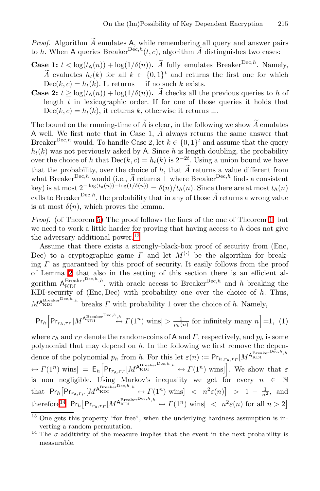*Proof.* Algorithm  $\widetilde{A}$  emulates A, while remembering all query and answer pairs to h. When A queries Breaker<sup>Dec,h</sup>(t, c), algorithm  $\tilde{A}$  distinguishes two cases:

- **Case 1:**  $t < \log(t_A(n)) + \log(1/\delta(n))$ . A fully emulates Breaker<sup>Dec,h</sup>. Namely,  $\tilde{A}$  evaluates  $h_t(k)$  for all  $k \in \{0,1\}^t$  and returns the first one for which  $Dec(k, c) = h_t(k)$ . It returns  $\perp$  if no such k exists.
- **Case 2:**  $t \geq \log(t_A(n)) + \log(1/\delta(n))$ . A checks all the previous queries to h of length  $t$  in lexicographic order. If for one of those queries it holds that Dec(k, c) =  $h_t(k)$ , it returns k, otherwise it returns  $\perp$ .

The bound on the running-time of  $\widetilde{A}$  is clear, in the following we show  $\widetilde{A}$  emulates A well. We first note that in Case 1, A always returns the same answer that Breaker<sup>Dec,h</sup> would. To handle Case 2, let  $k \in \{0,1\}^t$  and assume that the query  $h_t(k)$  was not perviously asked by A. Since h is length doubling, the probability over the choice of h that  $\text{Dec}(k, c) = h_t(k)$  is  $2^{-2t}$ . Using a union bound we have that the probability, over the choice of  $h$ , that  $\widetilde{A}$  returns a value different from what Breaker<sup>Dec,h</sup> would (i.e.,  $\widetilde{A}$  returns  $\perp$  where Breaker<sup>Dec,h</sup> finds a consistent key) is at most  $2^{-\log(t_{\mathsf{A}}(n))-\log(1/\delta(n))} = \delta(n)/t_{\mathsf{A}}(n)$ . Since there are at most  $t_{\mathsf{A}}(n)$ calls to Breaker<sup>Dec,h</sup>, the probability that in any of those  $\widetilde{A}$  returns a wrong value is at most  $\delta(n)$ , which proves the lemma.

*Proof.* (of Theorem  $\boxed{5}$ ) The proof follows the lines of the one of Theorem  $\boxed{1}$ , but we need to work a little harder for proving that having access to  $h$  does not give the adversary additional power<sup>[13](#page-13-0)</sup>

Assume that there exists a strongly-black-box proof of security from (Enc, Dec) to a cryptographic game  $\Gamma$  and let  $M^{(1)}$  be the algorithm for breaking  $\Gamma$  as guaranteed by this proof of security. It easily follows from the proof of Lemma  $\boxed{2}$  that also in the setting of this section there is an efficient algorithm  $A_{KDI}^{\text{Breaker}^{\text{Dec},h},h}$ , with oracle access to Breaker<sup>Dec,h</sup> and h breaking the KDI-security of  $(Enc, Dec)$  with probability one over the choice of  $h$ . Thus,  $M^{\mathsf{A}_{\text{KDI}}^{\text{Breaker}^{\text{Dec},h},h}}$  breaks  $\Gamma$  with probability 1 over the choice of h. Namely,

$$
\Pr_{h}\left[\Pr_{r_{A},r_{\Gamma}}[M^{\mathcal{A}_{\text{KDI}}^{\text{BreakerDec},h},h} \leftrightarrow \Gamma(1^{n}) \text{ wins}] > \frac{1}{p_{h}(n)} \text{ for infinitely many } n\right] = 1, (1)
$$

<span id="page-13-1"></span><span id="page-13-0"></span>where  $r_A$  and  $r_I$  denote the random-coins of A and  $\Gamma$ , respectively, and  $p_h$  is some polynomial that may depend on  $h$ . In the following we first remove the dependence of the polynomial  $p_h$  from h. For this let  $\varepsilon(n) := \mathsf{Pr}_{h,r_{\mathsf{A}},r_{\Gamma}}[M^{\mathsf{A}_{\text{KDI}}^{\text{Breaker}^{\text{Dec},h},h}}]$  $\leftarrow \Gamma(1^n)$  wins] =  $\mathsf{E}_h\left[\mathsf{Pr}_{r_{\mathsf{A}},r_{\Gamma}}\left[M^{\mathsf{A}_{\text{KDI}}^{\text{BreakerDec},h},h}\leftrightarrow\Gamma(1^n) \text{ wins}\right]\right]$ . We show that  $\varepsilon$ is non negligible. Using Markov's inequality we get for every  $n \in \mathbb{N}$ that  $Pr_h\left[Pr_{r_{A},r_{\Gamma}}[M^{A_{\text{KDI}}^{\text{BreakerDec},h},h} \leftrightarrow \Gamma(1^n) \text{ wins}\right] < n^2 \varepsilon(n) \geq 1 - \frac{1}{n^2}$ , and therefore  $\mathbb{H}$  Pr<sub>h</sub>  $\left[\mathsf{Pr}_{r_{A,rr}}[M^{\mathsf{A}_{\text{KDI}}^{\text{PreakerDec},h},h} \leftrightarrow \Gamma(1^n) \text{ wins}] \leq n^2 \varepsilon(n)$  for all  $n > 2$ 

<sup>&</sup>lt;sup>13</sup> One gets this property "for free", when the underlying hardness assumption is in-

verting a random permutation.  $14$  The  $\sigma$ -additivity of the measure implies that the event in the next probability is measurable.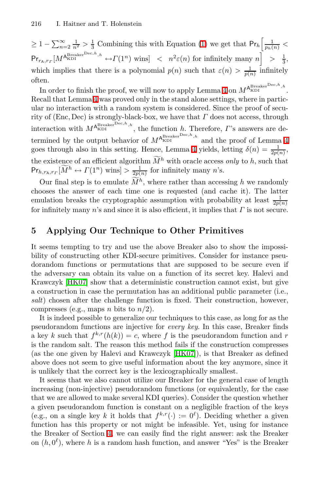$\geq 1 - \sum_{n=2}^{\infty} \frac{1}{n^2} > \frac{1}{3}$  Combining this with Equation (II) we get that  $Pr_h\left[\frac{1}{p_h(n)}\right]$  ${\sf Pr}_{r_{\mathsf{A}},r_{\Gamma}}[M^{\mathsf{A}_{\textsf{KDI}}^{\textsf{Break}}}\to \Gamma(1^n) \text{ wins}] \leq n^2 \varepsilon(n) \text{ for infinitely many } n \geq \frac{1}{3},$ which implies that there is a polynomial  $p(n)$  such that  $\varepsilon(n) > \frac{1}{p(n)}$  infinitely often.

In order to finish the proof, we will now to apply Lemma  $\mathbf{q}$  on  $M^{\mathsf{A}^{\mathsf{Breaker}Dec,h},h}_{\mathsf{KDI}}$ . Recall that Lemma  $\mathbf{I}$  was proved only in the stand alone settings, where in particular no interaction with a random system is considered. Since the proof of security of (Enc, Dec) is strongly-black-box, we have that  $\Gamma$  does not access, through interaction with  $M^{A}_{K\text{D}I}^{B_{\text{reaker}}^{\text{Dec},h},h}$ , the function h. Therefore,  $\Gamma$ 's answers are determined by the output behavior of  $M^{\mathsf{A}_{\text{KDI}}^{\text{BreakerDec},h},h}$ and the proof of Lemma  $\overline{4}$ goes through also in this setting. Hence, Lemma  $\boxed{\underline{\mathbf{A}}}$  yields, letting  $\delta(n) = \frac{1}{2p(n)}$ , the existence of an efficient algorithm  $\tilde{M}^h$  with oracle access only to h, such that  $Pr_{h,r_A,r_I}[\widetilde{M}^h \leftrightarrow \Gamma(1^n) \text{ wins}] > \frac{1}{2p(n)}$  for infinitely many n's.

Our final step is to emulate  $\tilde{M}^h$ , where rather than accessing h we randomly chooses the answer of each time one is requested (and cache it). The latter emulation breaks the cryptographic assumption with probability at least  $\frac{1}{2p(n)}$ for infinitely many  $n$ 's and since it is also efficient, it implies that  $\Gamma$  is not secure.

### **5 Applying Our Technique to Other Primitives**

It seems tempting to try and use the above Breaker also to show the impossibility of constructing other KDI-secure primitives. Consider for instance pseudorandom functions or permutations that are supposed to be secure even if the adversary can obtain its value on a function of its secret key. Halevi and Krawczyk [\[HK0](#page-16-1)7] show that a deterministic construction cannot exist, but give a construction in case the permutation has an additional public parameter (i.e., salt) chosen after the challenge function is fixed. Their construction, however, compresses (e.g., maps *n* bits to  $n/2$ ).

It is indeed possible to generalize our techniques to this case, as long for as the pseudorandom functions are injective for every key. In this case, Breaker finds a key k such that  $f^{k,r}(h(k)) = c$ , where f is the pseudorandom function and r is the random salt. The reason this method fails if the construction compresses (as the one given by Halevi and Krawczyk  $[HK07]$  $[HK07]$ ), is that Breaker as defined above does not seem to give useful information about the key anymore, since it is unlikely that the correct key is the lexicographically smallest.

It seems that we also cannot utilize our Breaker for the general case of length increasing (non-injective) pseudorandom functions (or equivalently, for the case that we are allowed to make several KDI queries). Consider the question whether a given pseudorandom function is constant on a negligible fraction of the keys (e.g., on a single key k it holds that  $f^{k,r}(\cdot) := 0^{\ell}$ ). Deciding whether a given function has this property or not might be infeasible. Yet, using for instance the Breaker of Section  $\mathbf{I}$ , we can easily find the right answer: ask the Breaker on  $(h, 0^{\ell})$ , where h is a random hash function, and answer "Yes" is the Breaker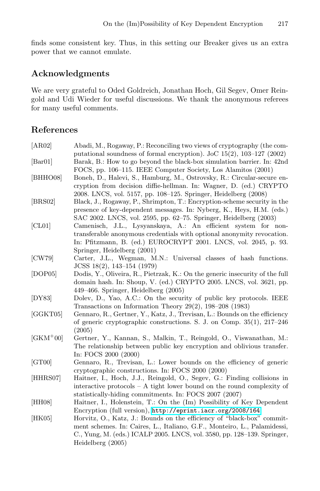finds some consistent key. Thus, in this setting our Breaker gives us an extra power that we cannot emulate.

# <span id="page-15-2"></span>**Acknowledgments**

<span id="page-15-11"></span>We are very grateful to Oded Goldreich, Jonathan Hoch, Gil Segev, Omer Reingold and Udi Wieder for useful discussions. We thank the anonymous referees for many useful comments.

# <span id="page-15-4"></span><span id="page-15-1"></span>**References**

<span id="page-15-12"></span><span id="page-15-10"></span><span id="page-15-9"></span><span id="page-15-8"></span><span id="page-15-7"></span><span id="page-15-6"></span><span id="page-15-5"></span><span id="page-15-3"></span><span id="page-15-0"></span>

| [AR02]                      | Abadi, M., Rogaway, P.: Reconciling two views of cryptography (the com-                                                                              |
|-----------------------------|------------------------------------------------------------------------------------------------------------------------------------------------------|
| $\left[\text{Bar}01\right]$ | putational soundness of formal encryption). JoC $15(2)$ , $103-127$ (2002)<br>Barak, B.: How to go beyond the black-box simulation barrier. In: 42nd |
|                             | FOCS, pp. 106–115. IEEE Computer Society, Los Alamitos (2001)                                                                                        |
| [BHHO08]                    | Boneh, D., Halevi, S., Hamburg, M., Ostrovsky, R.: Circular-secure en-<br>cryption from decision diffie-hellman. In: Wagner, D. (ed.) CRYPTO         |
|                             | 2008. LNCS, vol. 5157, pp. 108–125. Springer, Heidelberg (2008)                                                                                      |
| [BRS02]                     | Black, J., Rogaway, P., Shrimpton, T.: Encryption-scheme security in the                                                                             |
|                             | presence of key-dependent messages. In: Nyberg, K., Heys, H.M. (eds.)                                                                                |
|                             | SAC 2002. LNCS, vol. 2595, pp. 62–75. Springer, Heidelberg (2003)                                                                                    |
| [CL01]                      | Camenisch, J.L., Lysyanskaya, A.: An efficient system for non-                                                                                       |
|                             | transferable anonymous credentials with optional anonymity revocation.                                                                               |
|                             | In: Pfitzmann, B. (ed.) EUROCRYPT 2001. LNCS, vol. 2045, p. 93.                                                                                      |
|                             | Springer, Heidelberg (2001)                                                                                                                          |
| [CW79]                      | Carter, J.L., Wegman, M.N.: Universal classes of hash functions.                                                                                     |
|                             | JCSS $18(2)$ , $143-154$ (1979)                                                                                                                      |
| [DOP05]                     | Dodis, Y., Oliveira, R., Pietrzak, K.: On the generic insecurity of the full                                                                         |
|                             | domain hash. In: Shoup, V. (ed.) CRYPTO 2005. LNCS, vol. 3621, pp.                                                                                   |
|                             | $449-466$ . Springer, Heidelberg $(2005)$                                                                                                            |
| [DY83]                      | Dolev, D., Yao, A.C.: On the security of public key protocols. IEEE                                                                                  |
|                             | Transactions on Information Theory $29(2)$ , 198-208 (1983)                                                                                          |
| [GGKT05]                    | Gennaro, R., Gertner, Y., Katz, J., Trevisan, L.: Bounds on the efficiency                                                                           |
|                             | of generic cryptographic constructions. S. J. on Comp. $35(1)$ , $217-246$                                                                           |
|                             | (2005)                                                                                                                                               |
| $[GKM^+00]$                 | Gertner, Y., Kannan, S., Malkin, T., Reingold, O., Viswanathan, M.:                                                                                  |
|                             | The relationship between public key encryption and oblivious transfer.                                                                               |
|                             | In: FOCS 2000 (2000)                                                                                                                                 |
| [GT00]                      | Gennaro, R., Trevisan, L.: Lower bounds on the efficiency of generic                                                                                 |
|                             | cryptographic constructions. In: FOCS 2000 (2000)                                                                                                    |
| [HHRS07]                    | Haitner, I., Hoch, J.J., Reingold, O., Segev, G.: Finding collisions in                                                                              |
|                             | interactive protocols $- A$ tight lower bound on the round complexity of                                                                             |
|                             | statistically-hiding commitments. In: FOCS 2007 (2007)                                                                                               |
| [HH08]                      | Haitner, I., Holenstein, T.: On the (Im) Possibility of Key Dependent                                                                                |
|                             | Encryption (full version), http://eprint.iacr.org/2008/164                                                                                           |
| [HK05]                      | Horvitz, O., Katz, J.: Bounds on the efficiency of "black-box" commit-                                                                               |
|                             | ment schemes. In: Caires, L., Italiano, G.F., Monteiro, L., Palamidessi,                                                                             |
|                             | C., Yung, M. (eds.) ICALP 2005. LNCS, vol. 3580, pp. 128–139. Springer,                                                                              |
|                             | Heidelberg (2005)                                                                                                                                    |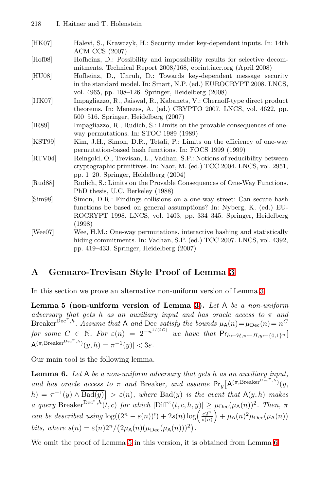- <span id="page-16-9"></span><span id="page-16-8"></span><span id="page-16-2"></span><span id="page-16-1"></span>[HK07] Halevi, S., Krawczyk, H.: Security under key-dependent inputs. In: 14th ACM CCS (2007)
- <span id="page-16-3"></span>[Hof08] Hofheinz, D.: Possibility and impossibility results for selective decommitments. Technical Report 2008/168, eprint.iacr.org (April 2008)
- <span id="page-16-6"></span>[HU08] Hofheinz, D., Unruh, D.: Towards key-dependent message security in the standard model. In: Smart, N.P. (ed.) EUROCRYPT 2008. LNCS, vol. 4965, pp. 108–126. Springer, Heidelberg (2008)
- <span id="page-16-0"></span>[IJK07] Impagliazzo, R., Jaiswal, R., Kabanets, V.: Chernoff-type direct product theorems. In: Menezes, A. (ed.) CRYPTO 2007. LNCS, vol. 4622, pp. 500–516. Springer, Heidelberg (2007)
- <span id="page-16-5"></span><span id="page-16-4"></span>[IR89] Impagliazzo, R., Rudich, S.: Limits on the provable consequences of oneway permutations. In: STOC 1989 (1989)
- [KST99] Kim, J.H., Simon, D.R., Tetali, P.: Limits on the efficiency of one-way permutation-based hash functions. In: FOCS 1999 (1999)
- <span id="page-16-7"></span>[RTV04] Reingold, O., Trevisan, L., Vadhan, S.P.: Notions of reducibility between cryptographic primitives. In: Naor, M. (ed.) TCC 2004. LNCS, vol. 2951, pp. 1–20. Springer, Heidelberg (2004)
- [Rud88] Rudich, S.: Limits on the Provable Consequences of One-Way Functions. PhD thesis, U.C. Berkeley (1988)
- [Sim98] Simon, D.R.: Findings collisions on a one-way street: Can secure hash functions be based on general assumptions? In: Nyberg, K. (ed.) EU-ROCRYPT 1998. LNCS, vol. 1403, pp. 334–345. Springer, Heidelberg (1998)
- [Wee07] Wee, H.M.: One-way permutations, interactive hashing and statistically hiding commitments. In: Vadhan, S.P. (ed.) TCC 2007. LNCS, vol. 4392, pp. 419–433. Springer, Heidelberg (2007)

# **A Gennaro-Trevisan Style Proof of Lemma [3](#page--1-14)**

In this section we prove an alternative non-uniform version of Lemma [3.](#page--1-14)

**Lemma 5 (non-uniform version of Lemma [3\)](#page--1-14).** Let A be a non-uniform adversary that gets h as an auxiliary input and has oracle access to  $\pi$  and Breaker<sup>Dec<sup>π</sup>,h. Assume that A and Dec satisfy the bounds  $\mu_A(n) = \mu_{\text{Dec}}(n) = n^C$ </sup> for some  $C \in \mathbb{N}$ . For  $\varepsilon(n) = 2^{-n^{1/(2C)}}$  we have that  $Pr_{h \leftarrow H, \pi \leftarrow \Pi, y \leftarrow \{0,1\}^n}$  $\mathsf{A}^{(\pi,\text{Breaker}^{\text{Dec}},h)}(y,h) = \pi^{-1}(y) < 3\varepsilon.$ 

Our main tool is the following lemma.

**Lemma 6.** Let A be a non-uniform adversary that gets h as an auxiliary input, and has oracle access to  $\pi$  and Breaker, and assume  $Pr_y[A^{(\pi, \text{Breaker}^{\text{Dec}}, h)}(y,$  $h) = \pi^{-1}(y) \wedge \overline{\text{Bad}(y)} > \varepsilon(n)$ , where  $\text{Bad}(y)$  is the event that  $A(y, h)$  makes a query Breaker<sup>Dec<sup>π</sup>,h<sub>(t, c</sub>) for which  $|\text{Diff}^{\pi}(t, c, h, y)| \geq \mu_{\text{Dec}}(\mu_{\mathsf{A}}(n))^2$ . Then,  $\pi$ </sup> can be described using  $\log((2^n-s(n))!) + 2s(n) \log(\frac{e^{2^n}}{s(n)})$  $+\mu_{\mathsf{A}}(n)^2\mu_{\text{Dec}}(\mu_{\mathsf{A}}(n))$ bits, where  $s(n) = \varepsilon(n)2^n/(2\mu_A(n)(\mu_{\text{Dec}}(\mu_A(n)))^2)$ .

We omit the proof of Lemma  $\overline{5}$  $\overline{5}$  $\overline{5}$  in this version, it is obtained from Lemma  $\overline{6}$ .